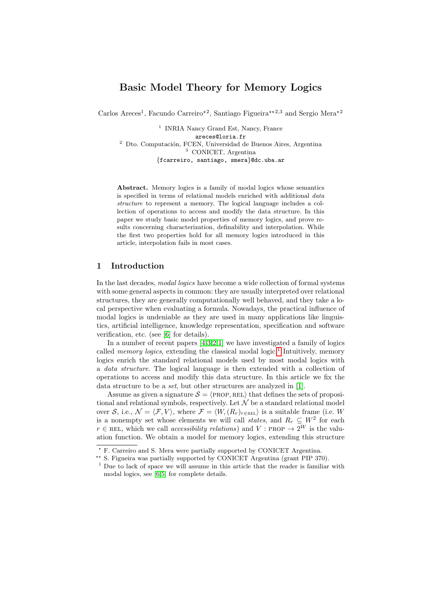# Basic Model Theory for Memory Logics

Carlos Areces<sup>1</sup>, Facundo Carreiro<sup>\*2</sup>, Santiago Figueira<sup>\*\*2,3</sup> and Sergio Mera<sup>\*2</sup>

<sup>1</sup> INRIA Nancy Grand Est, Nancy, France areces@loria.fr  $2$  Dto. Computación, FCEN, Universidad de Buenos Aires, Argentina <sup>3</sup> CONICET, Argentina {fcarreiro, santiago, smera}@dc.uba.ar

Abstract. Memory logics is a family of modal logics whose semantics is specified in terms of relational models enriched with additional data structure to represent a memory. The logical language includes a collection of operations to access and modify the data structure. In this paper we study basic model properties of memory logics, and prove results concerning characterization, definability and interpolation. While the first two properties hold for all memory logics introduced in this article, interpolation fails in most cases.

## <span id="page-0-1"></span>1 Introduction

In the last decades, modal logics have become a wide collection of formal systems with some general aspects in common: they are usually interpreted over relational structures, they are generally computationally well behaved, and they take a local perspective when evaluating a formula. Nowadays, the practical influence of modal logics is undeniable as they are used in many applications like linguistics, artificial intelligence, knowledge representation, specification and software verification, etc. (see [\[6\]](#page-10-0) for details).

In a number of recent papers  $[4,3,2,1]$  $[4,3,2,1]$  $[4,3,2,1]$  $[4,3,2,1]$  we have investigated a family of logics called *memory logics*, extending the classical modal logic.<sup>[1](#page-0-0)</sup> Intuitively, memory logics enrich the standard relational models used by most modal logics with a data structure. The logical language is then extended with a collection of operations to access and modify this data structure. In this article we fix the data structure to be a *set*, but other structures are analyzed in [\[1\]](#page-9-1).

Assume as given a signature  $S = \langle \text{PROP}, \text{REL} \rangle$  that defines the sets of propositional and relational symbols, respectively. Let  $\mathcal N$  be a standard relational model over S, i.e.,  $\mathcal{N} = \langle \mathcal{F}, V \rangle$ , where  $\mathcal{F} = \langle W, (R_r)_{r \in \text{REL}} \rangle$  is a suitable frame (i.e. W is a nonempty set whose elements we will call *states*, and  $R_r \subseteq W^2$  for each  $r \in \text{REL}$ , which we call *accessibility relations*) and V : PROP  $\rightarrow 2^W$  is the valuation function. We obtain a model for memory logics, extending this structure

<sup>?</sup> F. Carreiro and S. Mera were partially supported by CONICET Argentina.

<sup>\*\*</sup> S. Figueira was partially supported by CONICET Argentina (grant PIP 370).

<span id="page-0-0"></span><sup>&</sup>lt;sup>1</sup> Due to lack of space we will assume in this article that the reader is familiar with modal logics, see [\[6](#page-10-0)[,5\]](#page-10-3) for complete details.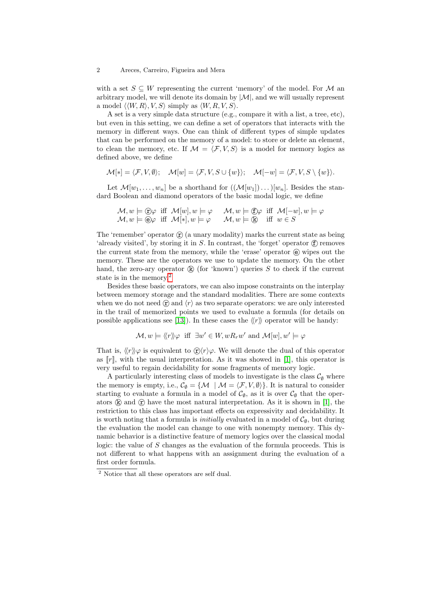with a set  $S \subseteq W$  representing the current 'memory' of the model. For M an arbitrary model, we will denote its domain by  $|M|$ , and we will usually represent a model  $\langle \langle W, R \rangle, V, S \rangle$  simply as  $\langle W, R, V, S \rangle$ .

A set is a very simple data structure (e.g., compare it with a list, a tree, etc), but even in this setting, we can define a set of operators that interacts with the memory in different ways. One can think of different types of simple updates that can be performed on the memory of a model: to store or delete an element, to clean the memory, etc. If  $\mathcal{M} = \langle \mathcal{F}, V, S \rangle$  is a model for memory logics as defined above, we define

$$
\mathcal{M}[*] = \langle \mathcal{F}, V, \emptyset \rangle; \quad \mathcal{M}[w] = \langle \mathcal{F}, V, S \cup \{w\} \rangle; \quad \mathcal{M}[-w] = \langle \mathcal{F}, V, S \setminus \{w\} \rangle.
$$

Let  $\mathcal{M}[w_1,\ldots,w_n]$  be a shorthand for  $((\mathcal{M}[w_1])\ldots)[w_n]$ . Besides the standard Boolean and diamond operators of the basic modal logic, we define

$$
\mathcal{M}, w \models \textcircled{f} \varphi \text{ iff } \mathcal{M}[w], w \models \varphi \qquad \mathcal{M}, w \models \textcircled{f} \varphi \text{ iff } \mathcal{M}[-w], w \models \varphi \qquad \mathcal{M}, w \models \textcircled{g} \varphi \text{ iff } \mathcal{M}[*], w \models \varphi \qquad \mathcal{M}, w \models \textcircled{k} \text{ iff } w \in S
$$

The 'remember' operator  $\hat{r}$  (a unary modality) marks the current state as being 'already visited', by storing it in  $S$ . In contrast, the 'forget' operator  $\langle f \rangle$  removes the current state from the memory, while the 'erase' operator  $\Theta$  wipes out the memory. These are the operators we use to update the memory. On the other hand, the zero-ary operator  $\mathbb{R}$  (for 'known') queries S to check if the current state is in the memory.<sup>[2](#page-1-0)</sup>

Besides these basic operators, we can also impose constraints on the interplay between memory storage and the standard modalities. There are some contexts when we do not need  $\langle r \rangle$  and  $\langle r \rangle$  as two separate operators: we are only interested in the trail of memorized points we used to evaluate a formula (for details on possible applications see [\[13\]](#page-10-4)). In these cases the  $\langle r \rangle$  operator will be handy:

$$
\mathcal{M}, w \models \langle\!\langle r \rangle\!\rangle \varphi \text{ iff } \exists w' \in W, wR_rw' \text{ and } \mathcal{M}[w], w' \models \varphi
$$

That is,  $\langle r \rangle \varphi$  is equivalent to  $\hat{\mathbf{r}} \rangle \langle r \rangle \varphi$ . We will denote the dual of this operator as  $\llbracket r \rrbracket$ , with the usual interpretation. As it was showed in [\[1\]](#page-9-1), this operator is very useful to regain decidability for some fragments of memory logic.

A particularly interesting class of models to investigate is the class  $\mathcal{C}_{\emptyset}$  where the memory is empty, i.e.,  $C_{\emptyset} = \{M \mid M = \langle F, V, \emptyset \rangle\}$ . It is natural to consider starting to evaluate a formula in a model of  $\mathcal{C}_{\emptyset}$ , as it is over  $\mathcal{C}_{\emptyset}$  that the operators  $\circ$  and  $\circ$  have the most natural interpretation. As it is shown in [\[1\]](#page-9-1), the restriction to this class has important effects on expressivity and decidability. It is worth noting that a formula is *initially* evaluated in a model of  $C_{\emptyset}$ , but during the evaluation the model can change to one with nonempty memory. This dynamic behavior is a distinctive feature of memory logics over the classical modal logic: the value of  $S$  changes as the evaluation of the formula proceeds. This is not different to what happens with an assignment during the evaluation of a first order formula.

<span id="page-1-0"></span><sup>2</sup> Notice that all these operators are self dual.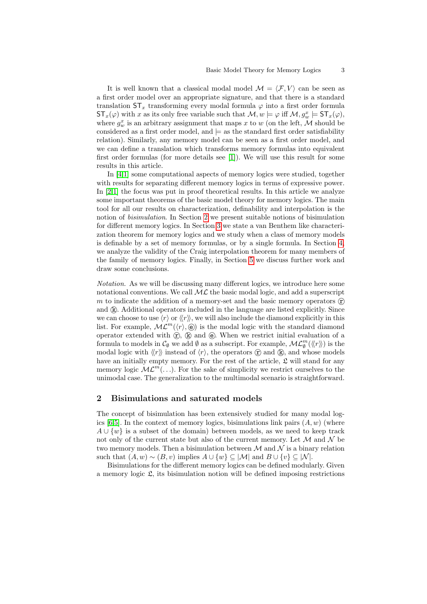It is well known that a classical modal model  $\mathcal{M} = \langle \mathcal{F}, V \rangle$  can be seen as a first order model over an appropriate signature, and that there is a standard translation  $ST_x$  transforming every modal formula  $\varphi$  into a first order formula  $ST_x(\varphi)$  with x as its only free variable such that  $\mathcal{M}, w \models \varphi$  iff  $\mathcal{M}, g_w^x \models ST_x(\varphi)$ , where  $g_w^x$  is an arbitrary assignment that maps x to w (on the left,  $\overline{\mathcal{M}}$  should be considered as a first order model, and  $\models$  as the standard first order satisfiability relation). Similarly, any memory model can be seen as a first order model, and we can define a translation which transforms memory formulas into equivalent first order formulas (for more details see [\[1\]](#page-9-1)). We will use this result for some results in this article.

In [\[4](#page-10-1)[,1\]](#page-9-1) some computational aspects of memory logics were studied, together with results for separating different memory logics in terms of expressive power. In [\[2,](#page-9-0)[1\]](#page-9-1) the focus was put in proof theoretical results. In this article we analyze some important theorems of the basic model theory for memory logics. The main tool for all our results on characterization, definability and interpolation is the notion of bisimulation. In Section [2](#page-2-0) we present suitable notions of bisimulation for different memory logics. In Section [3](#page-5-0) we state a van Benthem like characterization theorem for memory logics and we study when a class of memory models is definable by a set of memory formulas, or by a single formula. In Section [4,](#page-6-0) we analyze the validity of the Craig interpolation theorem for many members of the family of memory logics. Finally, in Section [5](#page-9-2) we discuss further work and draw some conclusions.

Notation. As we will be discussing many different logics, we introduce here some notational conventions. We call  $ML$  the basic modal logic, and add a superscript m to indicate the addition of a memory-set and the basic memory operators  $(F)$ and  $(R)$ . Additional operators included in the language are listed explicitly. Since we can choose to use  $\langle r \rangle$  or  $\langle r \rangle$ , we will also include the diamond explicitly in this list. For example,  $ML^m(\langle r \rangle, \mathbf{e})$  is the modal logic with the standard diamond operator extended with  $(\hat{r})$ ,  $(\hat{k})$  and  $(\hat{e})$ . When we restrict initial evaluation of a formula to models in  $\mathcal{C}_{\emptyset}$  we add  $\emptyset$  as a subscript. For example,  $\mathcal{ML}_{\emptyset}^m(\langle\!\langle r \rangle\!\rangle)$  is the modal logic with  $\langle r \rangle$  instead of  $\langle r \rangle$ , the operators  $\hat{r}$  and  $\hat{r}$ , and whose models have an initially empty memory. For the rest of the article,  $\mathfrak{L}$  will stand for any memory logic  $ML^m(\ldots)$ . For the sake of simplicity we restrict ourselves to the unimodal case. The generalization to the multimodal scenario is straightforward.

### <span id="page-2-0"></span>2 Bisimulations and saturated models

The concept of bisimulation has been extensively studied for many modal log-ics [\[6,](#page-10-0)[5\]](#page-10-3). In the context of memory logics, bisimulations link pairs  $(A, w)$  (where  $A \cup \{w\}$  is a subset of the domain) between models, as we need to keep track not only of the current state but also of the current memory. Let  $\mathcal M$  and  $\mathcal N$  be two memory models. Then a bisimulation between  $\mathcal M$  and  $\mathcal N$  is a binary relation such that  $(A, w) \sim (B, v)$  implies  $A \cup \{w\} \subseteq |\mathcal{M}|$  and  $B \cup \{v\} \subseteq |\mathcal{N}|$ .

Bisimulations for the different memory logics can be defined modularly. Given a memory logic  $\mathfrak{L}$ , its bisimulation notion will be defined imposing restrictions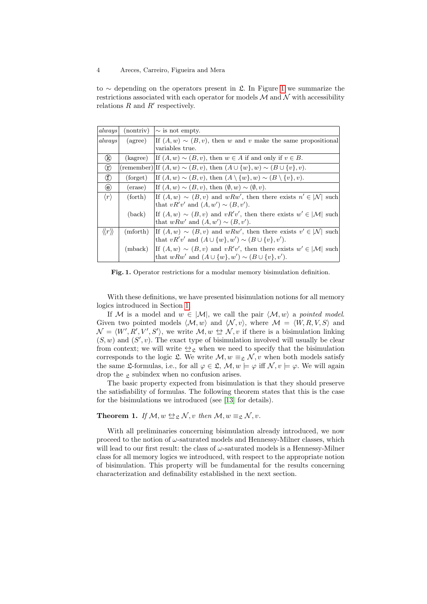to  $\sim$  depending on the operators present in £. In Figure [1](#page-3-0) we summarize the restrictions associated with each operator for models  $\mathcal M$  and  $\mathcal N$  with accessibility relations  $R$  and  $R'$  respectively.

| always                                | (nontriv) | $\sim$ is not empty.                                                                   |
|---------------------------------------|-----------|----------------------------------------------------------------------------------------|
| always                                | (agree)   | If $(A, w) \sim (B, v)$ , then w and v make the same propositional                     |
|                                       |           | variables true.                                                                        |
| (k)                                   | (kagree)  | If $(A, w) \sim (B, v)$ , then $w \in A$ if and only if $v \in B$ .                    |
| $^{\circledR}$                        |           | (remember) If $(A, w) \sim (B, v)$ , then $(A \cup \{w\}, w) \sim (B \cup \{v\}, v)$ . |
| $^{\circledR}$                        | (forget)  | If $(A, w) \sim (B, v)$ , then $(A \setminus \{w\}, w) \sim (B \setminus \{v\}, v)$ .  |
| $\circled{e}$                         | (erase)   | If $(A, w) \sim (B, v)$ , then $(\emptyset, w) \sim (\emptyset, v)$ .                  |
| $\langle r \rangle$                   | (forth)   | If $(A, w) \sim (B, v)$ and $wRw'$ , then there exists $n' \in  \mathcal{N} $ such     |
|                                       |           | that $vR'v'$ and $(A, w') \sim (B, v')$ .                                              |
|                                       | (back)    | If $(A, w) \sim (B, v)$ and $vR'v'$ , then there exists $w' \in  \mathcal{M} $ such    |
|                                       |           | that $wRw'$ and $(A, w') \sim (B, v')$ .                                               |
| $\langle\!\langle r \rangle\!\rangle$ | (mforth)  | If $(A, w) \sim (B, v)$ and $wRw'$ , then there exists $v' \in  \mathcal{N} $ such     |
|                                       |           | that $vR'v'$ and $(A \cup \{w\}, w') \sim (B \cup \{v\}, v')$ .                        |
|                                       | (mback)   | If $(A, w) \sim (B, v)$ and $vR'v'$ , then there exists $w' \in  \mathcal{M} $ such    |
|                                       |           | that $wRw'$ and $(A \cup \{w\}, w') \sim (B \cup \{v\}, v')$ .                         |

<span id="page-3-0"></span>Fig. 1. Operator restrictions for a modular memory bisimulation definition.

With these definitions, we have presented bisimulation notions for all memory logics introduced in Section [1.](#page-0-1)

If M is a model and  $w \in |\mathcal{M}|$ , we call the pair  $\langle \mathcal{M}, w \rangle$  a pointed model. Given two pointed models  $\langle M, w \rangle$  and  $\langle N, v \rangle$ , where  $M = \langle W, R, V, S \rangle$  and  $\mathcal{N} = \langle W', R', V', S' \rangle$ , we write  $\mathcal{M}, w \leftrightarrow \mathcal{N}, v$  if there is a bisimulation linking  $(S, w)$  and  $(S', v)$ . The exact type of bisimulation involved will usually be clear from context; we will write  $\triangle$ <sub>2</sub> when we need to specify that the bisimulation corresponds to the logic  $\mathfrak{L}$ . We write  $\mathcal{M}, w \equiv_{\mathfrak{L}} \mathcal{N}, v$  when both models satisfy the same L-formulas, i.e., for all  $\varphi \in \mathcal{L}, \mathcal{M}, w \models \varphi$  iff  $\mathcal{N}, v \models \varphi$ . We will again drop the  $\alpha$  subindex when no confusion arises.

The basic property expected from bisimulation is that they should preserve the satisfiability of formulas. The following theorem states that this is the case for the bisimulations we introduced (see [\[13\]](#page-10-4) for details).

## <span id="page-3-1"></span>**Theorem 1.** If  $M, w \leftrightarrow_{\mathfrak{L}} N, v$  then  $M, w \equiv_{\mathfrak{L}} N, v$ .

With all preliminaries concerning bisimulation already introduced, we now proceed to the notion of  $\omega$ -saturated models and Hennessy-Milner classes, which will lead to our first result: the class of  $\omega$ -saturated models is a Hennessy-Milner class for all memory logics we introduced, with respect to the appropriate notion of bisimulation. This property will be fundamental for the results concerning characterization and definability established in the next section.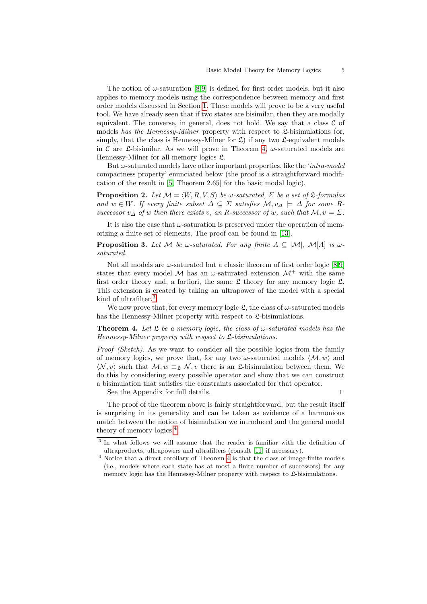The notion of  $\omega$ -saturation [\[8](#page-10-5)[,9\]](#page-10-6) is defined for first order models, but it also applies to memory models using the correspondence between memory and first order models discussed in Section [1.](#page-0-1) These models will prove to be a very useful tool. We have already seen that if two states are bisimilar, then they are modally equivalent. The converse, in general, does not hold. We say that a class  $C$  of models has the Hennessy-Milner property with respect to  $\mathfrak{L}$ -bisimulations (or, simply, that the class is Hennessy-Milner for  $\mathfrak{L}$ ) if any two  $\mathfrak{L}$ -equivalent models in C are L-bisimilar. As we will prove in Theorem [4,](#page-4-0)  $\omega$ -saturated models are Hennessy-Milner for all memory logics  $\mathfrak{L}$ .

But  $\omega$ -saturated models have other important properties, like the '*intra-model* compactness property' enunciated below (the proof is a straightforward modification of the result in [\[5,](#page-10-3) Theorem 2.65] for the basic modal logic).

<span id="page-4-4"></span>**Proposition 2.** Let  $M = \langle W, R, V, S \rangle$  be  $\omega$ -saturated,  $\Sigma$  be a set of  $\mathfrak{L}$ -formulas and  $w \in W$ . If every finite subset  $\Delta \subseteq \Sigma$  satisfies  $\mathcal{M}, v_{\Delta} \models \Delta$  for some Rsuccessor  $v_{\Delta}$  of w then there exists v, an R-successor of w, such that  $\mathcal{M}, v \models \Sigma$ .

It is also the case that  $\omega$ -saturation is preserved under the operation of memorizing a finite set of elements. The proof can be found in [\[13\]](#page-10-4).

**Proposition 3.** Let M be w-saturated. For any finite  $A \subseteq |\mathcal{M}|$ ,  $\mathcal{M}[A]$  is wsaturated.

Not all models are  $\omega$ -saturated but a classic theorem of first order logic [\[8,](#page-10-5)[9\]](#page-10-6) states that every model M has an  $\omega$ -saturated extension  $\mathcal{M}^+$  with the same first order theory and, a fortiori, the same  $\mathfrak L$  theory for any memory logic  $\mathfrak L$ . This extension is created by taking an ultrapower of the model with a special kind of ultrafilter.<sup>[3](#page-4-1)</sup>

We now prove that, for every memory logic  $\mathfrak{L}$ , the class of  $\omega$ -saturated models has the Hennessy-Milner property with respect to  $\mathcal{L}$ -bisimulations.

<span id="page-4-0"></span>**Theorem 4.** Let  $\mathfrak L$  be a memory logic, the class of  $\omega$ -saturated models has the Hennessy-Milner property with respect to  $\mathfrak{L}$ -bisimulations.

Proof (Sketch). As we want to consider all the possible logics from the family of memory logics, we prove that, for any two  $\omega$ -saturated models  $\langle M, w \rangle$  and  $\langle \mathcal{N}, v \rangle$  such that  $\mathcal{M}, w \equiv_{\mathfrak{L}} \mathcal{N}, v$  there is an  $\mathfrak{L}$ -bisimulation between them. We do this by considering every possible operator and show that we can construct a bisimulation that satisfies the constraints associated for that operator.

See the Appendix for full details.  $\Box$ 

<span id="page-4-3"></span>

The proof of the theorem above is fairly straightforward, but the result itself is surprising in its generality and can be taken as evidence of a harmonious match between the notion of bisimulation we introduced and the general model theory of memory logics.[4](#page-4-2)

<span id="page-4-1"></span><sup>&</sup>lt;sup>3</sup> In what follows we will assume that the reader is familiar with the definition of ultraproducts, ultrapowers and ultrafilters (consult [\[11\]](#page-10-7) if necessary).

<span id="page-4-2"></span> $^4$  Notice that a direct corollary of Theorem [4](#page-4-0) is that the class of image-finite models (i.e., models where each state has at most a finite number of successors) for any memory logic has the Hennessy-Milner property with respect to  $\mathfrak{L}$ -bisimulations.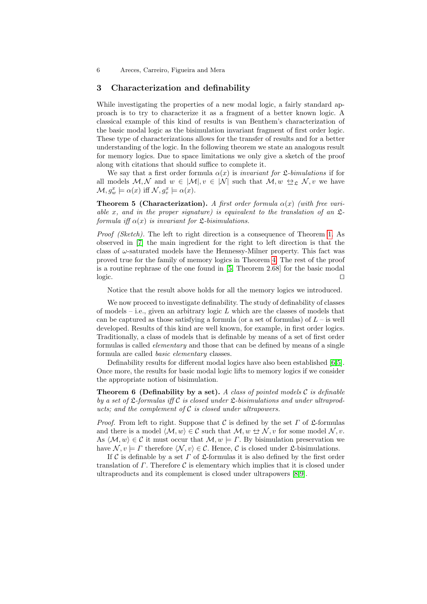#### <span id="page-5-0"></span>3 Characterization and definability

While investigating the properties of a new modal logic, a fairly standard approach is to try to characterize it as a fragment of a better known logic. A classical example of this kind of results is van Benthem's characterization of the basic modal logic as the bisimulation invariant fragment of first order logic. These type of characterizations allows for the transfer of results and for a better understanding of the logic. In the following theorem we state an analogous result for memory logics. Due to space limitations we only give a sketch of the proof along with citations that should suffice to complete it.

We say that a first order formula  $\alpha(x)$  is *invariant for*  $\mathfrak{L}\text{-}bimulations$  if for all models  $M, N$  and  $w \in |M|, v \in |N|$  such that  $M, w \leftrightarrow_{\mathfrak{L}} N, v$  we have  $\mathcal{M}, g_w^x \models \alpha(x) \text{ iff } \mathcal{N}, g_v^x \models \alpha(x).$ 

**Theorem 5 (Characterization).** A first order formula  $\alpha(x)$  (with free variable x, and in the proper signature) is equivalent to the translation of an  $\mathfrak{L}$ formula iff  $\alpha(x)$  is invariant for  $\mathfrak{L}\text{-}bisimulations.$ 

Proof (Sketch). The left to right direction is a consequence of Theorem [1.](#page-3-1) As observed in [\[7\]](#page-10-8) the main ingredient for the right to left direction is that the class of  $\omega$ -saturated models have the Hennessy-Milner property. This fact was proved true for the family of memory logics in Theorem [4.](#page-4-0) The rest of the proof is a routine rephrase of the one found in [\[5,](#page-10-3) Theorem 2.68] for the basic modal  $logic.$ 

Notice that the result above holds for all the memory logics we introduced.

We now proceed to investigate definability. The study of definability of classes of models – i.e., given an arbitrary logic L which are the classes of models that can be captured as those satisfying a formula (or a set of formulas) of  $L$  – is well developed. Results of this kind are well known, for example, in first order logics. Traditionally, a class of models that is definable by means of a set of first order formulas is called elementary and those that can be defined by means of a single formula are called basic elementary classes.

<span id="page-5-1"></span>Definability results for different modal logics have also been established [\[6,](#page-10-0)[5\]](#page-10-3). Once more, the results for basic modal logic lifts to memory logics if we consider the appropriate notion of bisimulation.

**Theorem 6 (Definability by a set).** A class of pointed models C is definable by a set of  $\mathfrak{L}$ -formulas iff C is closed under  $\mathfrak{L}$ -bisimulations and under ultraproducts; and the complement of  $C$  is closed under ultrapowers.

*Proof.* From left to right. Suppose that C is defined by the set  $\Gamma$  of  $\mathfrak{L}$ -formulas and there is a model  $\langle M, w \rangle \in \mathcal{C}$  such that  $M, w \leftrightarrow N, v$  for some model  $N, v$ . As  $\langle \mathcal{M}, w \rangle \in \mathcal{C}$  it must occur that  $\mathcal{M}, w \models \Gamma$ . By bisimulation preservation we have  $\mathcal{N}, v \models \Gamma$  therefore  $\langle \mathcal{N}, v \rangle \in \mathcal{C}$ . Hence, C is closed under L-bisimulations.

If C is definable by a set  $\Gamma$  of  $\mathfrak L$ -formulas it is also defined by the first order translation of  $\Gamma$ . Therefore  $\mathcal C$  is elementary which implies that it is closed under ultraproducts and its complement is closed under ultrapowers [\[8,](#page-10-5)[9\]](#page-10-6).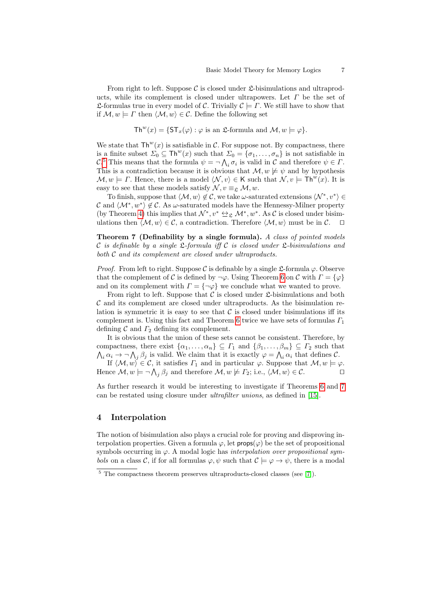From right to left. Suppose C is closed under  $\mathfrak{L}$ -bisimulations and ultraproducts, while its complement is closed under ultrapowers. Let  $\Gamma$  be the set of **L**-formulas true in every model of C. Trivially  $C \models \Gamma$ . We still have to show that if  $\mathcal{M}, w \models \Gamma$  then  $\langle \mathcal{M}, w \rangle \in \mathcal{C}$ . Define the following set

$$
\mathsf{Th}^w(x) = \{ \mathsf{ST}_x(\varphi) : \varphi \text{ is an } \mathfrak{L}\text{-formula and } \mathcal{M}, w \models \varphi \}.
$$

We state that  $\mathsf{Th}^w(x)$  is satisfiable in C. For suppose not. By compactness, there is a finite subset  $\Sigma_0 \subseteq \text{Th}^w(x)$  such that  $\Sigma_0 = {\sigma_1, \ldots, \sigma_n}$  is not satisfiable in C.<sup>[5](#page-6-1)</sup> This means that the formula  $\psi = \neg \bigwedge_i \sigma_i$  is valid in C and therefore  $\psi \in \Gamma$ . This is a contradiction because it is obvious that  $\mathcal{M}, w \not\models \psi$  and by hypothesis  $\mathcal{M}, w \models \Gamma$ . Hence, there is a model  $\langle \mathcal{N}, v \rangle \in \mathsf{K}$  such that  $\mathcal{N}, v \models \mathsf{Th}^w(x)$ . It is easy to see that these models satisfy  $\mathcal{N}, v \equiv_{\mathfrak{L}} \mathcal{M}, w$ .

To finish, suppose that  $\langle \mathcal{M}, w \rangle \notin \mathcal{C}$ , we take  $\omega$ -saturated extensions  $\langle \mathcal{N}^*, v^* \rangle \in$ C and  $\langle \mathcal{M}^*, w^* \rangle \notin \mathcal{C}$ . As  $\omega$ -saturated models have the Hennessy-Milner property (by Theorem [4\)](#page-4-0) this implies that  $\mathcal{N}^*, v^* \Leftrightarrow_{\mathfrak{L}} \mathcal{M}^*, w^*$ . As C is closed under bisimulations then  $\langle \mathcal{M}, w \rangle \in \mathcal{C}$ , a contradiction. Therefore  $\langle \mathcal{M}, w \rangle$  must be in  $\mathcal{C}$ .  $\Box$ 

<span id="page-6-2"></span>Theorem 7 (Definability by a single formula). A class of pointed models C is definable by a single  $\mathfrak{L}$ -formula iff C is closed under  $\mathfrak{L}$ -bisimulations and both C and its complement are closed under ultraproducts.

*Proof.* From left to right. Suppose C is definable by a single  $\mathfrak{L}$ -formula  $\varphi$ . Observe that the complement of C is defined by  $\neg \varphi$ . Using Theorem [6](#page-5-1) on C with  $\Gamma = {\varphi}$ and on its complement with  $\Gamma = \{\neg \varphi\}$  we conclude what we wanted to prove.

From right to left. Suppose that  $\mathcal C$  is closed under  $\mathfrak L$ -bisimulations and both  $\mathcal C$  and its complement are closed under ultraproducts. As the bisimulation relation is symmetric it is easy to see that  $\mathcal C$  is closed under bisimulations iff its complement is. Using this fact and Theorem [6](#page-5-1) twice we have sets of formulas  $\Gamma_1$ defining  $\mathcal C$  and  $\Gamma_2$  defining its complement.

It is obvious that the union of these sets cannot be consistent. Therefore, by compactness, there exist  $\{\alpha_1, \ldots, \alpha_n\} \subseteq \Gamma_1$  and  $\{\beta_1, \ldots, \beta_m\} \subseteq \Gamma_2$  such that  $\bigwedge_i \alpha_i \to \neg \bigwedge_j \beta_j$  is valid. We claim that it is exactly  $\varphi = \bigwedge_i \alpha_i$  that defines C. If  $\langle \mathcal{M}, w \rangle \in \mathcal{C}$ , it satisfies  $\Gamma_1$  and in particular  $\varphi$ . Suppose that  $\mathcal{M}, w \models \varphi$ . Hence  $\mathcal{M}, w \models \neg \bigwedge_j \beta_j$  and therefore  $\mathcal{M}, w \not\models \Gamma_2$ ; i.e.,  $\langle \mathcal{M}, w \rangle \in \mathcal{C}$ .

As further research it would be interesting to investigate if Theorems [6](#page-5-1) and [7](#page-6-2) can be restated using closure under ultrafilter unions, as defined in [\[15\]](#page-10-9).

#### <span id="page-6-0"></span>4 Interpolation

The notion of bisimulation also plays a crucial role for proving and disproving interpolation properties. Given a formula  $\varphi$ , let **props** $(\varphi)$  be the set of propositional symbols occurring in  $\varphi$ . A modal logic has *interpolation over propositional sym*bols on a class C, if for all formulas  $\varphi, \psi$  such that  $\mathcal{C} \models \varphi \rightarrow \psi$ , there is a modal

<span id="page-6-1"></span> $5$  The compactness theorem preserves ultraproducts-closed classes (see [\[7\]](#page-10-8)).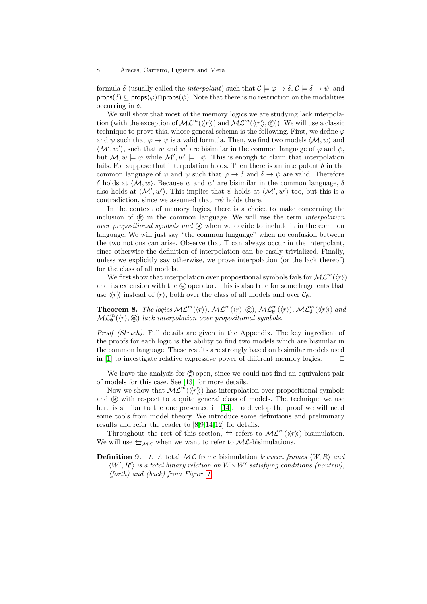formula  $\delta$  (usually called the *interpolant*) such that  $\mathcal{C} \models \varphi \rightarrow \delta, \mathcal{C} \models \delta \rightarrow \psi$ , and  $\mathsf{props}(\delta) \subseteq \mathsf{props}(\varphi) \cap \mathsf{props}(\psi)$ . Note that there is no restriction on the modalities occurring in  $\delta$ .

We will show that most of the memory logics we are studying lack interpolation (with the exception of  $ML^m(\langle\langle r\rangle\rangle, \text{ and }ML^m(\langle\langle r\rangle\rangle, \text{).})$ ). We will use a classic technique to prove this, whose general schema is the following. First, we define  $\varphi$ and  $\psi$  such that  $\varphi \to \psi$  is a valid formula. Then, we find two models  $\langle M, w \rangle$  and  $\langle \mathcal{M}', w' \rangle$ , such that w and w' are bisimilar in the common language of  $\varphi$  and  $\psi$ , but  $\mathcal{M}, w \models \varphi$  while  $\mathcal{M}', w' \models \neg \psi$ . This is enough to claim that interpolation fails. For suppose that interpolation holds. Then there is an interpolant  $\delta$  in the common language of  $\varphi$  and  $\psi$  such that  $\varphi \to \delta$  and  $\delta \to \psi$  are valid. Therefore δ holds at  $\langle M, w \rangle$ . Because w and w' are bisimilar in the common language, δ also holds at  $\langle \mathcal{M}', w' \rangle$ . This implies that  $\psi$  holds at  $\langle \mathcal{M}', w' \rangle$  too, but this is a contradiction, since we assumed that  $\neg \psi$  holds there.

In the context of memory logics, there is a choice to make concerning the inclusion of  $\mathbb{R}$  in the common language. We will use the term *interpolation* over propositional symbols and  $\mathbb{R}$  when we decide to include it in the common language. We will just say "the common language" when no confusion between the two notions can arise. Observe that  $\top$  can always occur in the interpolant, since otherwise the definition of interpolation can be easily trivialized. Finally, unless we explicitly say otherwise, we prove interpolation (or the lack thereof) for the class of all models.

We first show that interpolation over propositional symbols fails for  $ML^m(\langle r \rangle)$ and its extension with the  $\Theta$  operator. This is also true for some fragments that use  $\langle r \rangle$  instead of  $\langle r \rangle$ , both over the class of all models and over  $\mathcal{C}_{\emptyset}$ .

**Theorem 8.** The logics  $ML^m(\langle r \rangle), ML^m(\langle r \rangle, \textcircled{e}), ML^m_{\emptyset}(\langle r \rangle), ML^m_{\emptyset}(\langle r \rangle)$  and  $\mathcal{ML}_{\emptyset}^m(\langle r \rangle, \textcircled{e})$  lack interpolation over propositional symbols.

Proof (Sketch). Full details are given in the Appendix. The key ingredient of the proofs for each logic is the ability to find two models which are bisimilar in the common language. These results are strongly based on bisimilar models used in [\[1\]](#page-9-1) to investigate relative expressive power of different memory logics.  $\square$ 

We leave the analysis for  $(f)$  open, since we could not find an equivalent pair of models for this case. See [\[13\]](#page-10-4) for more details.

Now we show that  $ML^m(\langle\langle r\rangle\rangle)$  has interpolation over propositional symbols and  $(R)$  with respect to a quite general class of models. The technique we use here is similar to the one presented in [\[14\]](#page-10-10). To develop the proof we will need some tools from model theory. We introduce some definitions and preliminary results and refer the reader to [\[8](#page-10-5)[,9,](#page-10-6)[14,](#page-10-10)[12\]](#page-10-11) for details.

Throughout the rest of this section,  $\leftrightarrow$  refers to  $\mathcal{ML}^m(\langle\langle r \rangle\rangle)$ -bisimulation. We will use  $\triangle_{ML}$  when we want to refer to  $ML$ -bisimulations.

**Definition 9.** 1. A total  $ML$  frame bisimulation between frames  $\langle W, R \rangle$  and  $\langle W', R' \rangle$  is a total binary relation on  $W \times W'$  satisfying conditions (nontriv), (forth) and (back) from Figure [1.](#page-3-0)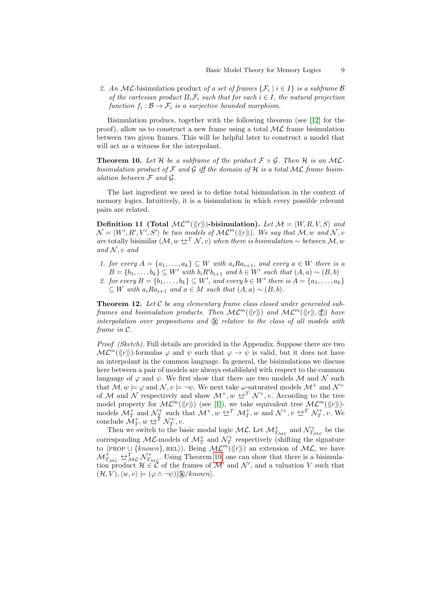2. An ML-bisimulation product of a set of frames  $\{\mathcal{F}_i \mid i \in I\}$  is a subframe B of the cartesian product  $\Pi_i \mathcal{F}_i$  such that for each  $i \in I$ , the natural projection function  $f_i: \mathcal{B} \to \mathcal{F}_i$  is a surjective bounded morphism.

Bisimulation producs, together with the following theorem (see [\[12\]](#page-10-11) for the proof), allow us to construct a new frame using a total  $ML$  frame bisimulation between two given frames. This will be helpful later to construct a model that will act as a witness for the interpolant.

<span id="page-8-0"></span>**Theorem 10.** Let H be a subframe of the product  $\mathcal{F} \times \mathcal{G}$ . Then H is an MLbisimulation product of  $\mathcal F$  and  $\mathcal G$  iff the domain of  $\mathcal H$  is a total ML frame bisimulation between  $\mathcal F$  and  $\mathcal G$ .

The last ingredient we need is to define total bisimulation in the context of memory logics. Intuitively, it is a bisimulation in which every possible relevant pairs are related.

Definition 11 (Total  $ML^m(\langle\!\langle r \rangle\!\rangle)$ -bisimulation). Let  $\mathcal{M} = \langle W, R, V, S \rangle$  and  $\mathcal{N} = \langle W', R', V', S' \rangle$  be two models of  $\mathcal{ML}^m(\langle\!\langle r \rangle\!\rangle)$ . We say that  $\mathcal{M}, w$  and  $\mathcal{N}, v$ are totally bisimilar  $(\mathcal{M}, w \triangleq^T \mathcal{N}, v)$  when there is bisimulation ~ between  $\mathcal{M}, w$ and  $N, v$  and

- 1. for every  $A = \{a_1, \ldots, a_k\} \subseteq W$  with  $a_i R a_{i+1}$ , and every  $a \in W$  there is a  $B = \{b_1, \ldots, b_k\} \subseteq W'$  with  $b_i R' b_{i+1}$  and  $b \in W'$  such that  $(A, a) \sim (B, b)$
- 2. for every  $B = \{b_1, \ldots, b_k\} \subseteq W'$ , and every  $b \in W'$  there is  $A = \{a_1, \ldots, a_k\}$ ⊂ W with  $a_iRa_{i+1}$  and  $a \in M$  such that  $(A, a) \sim (B, b)$ .

**Theorem 12.** Let  $\mathcal{C}$  be any elementary frame class closed under generated subframes and bisimulation products. Then  $ML^m(\langle\langle r \rangle\rangle)$  and  $ML^m(\langle\langle r \rangle\rangle, \text{f})$  have interpolation over propositions and  $\mathbb{R}$  relative to the class of all models with frame in C.

Proof (Sketch). Full details are provided in the Appendix. Suppose there are two  $ML^m(\langle\langle r\rangle\rangle)$ -formulas  $\varphi$  and  $\psi$  such that  $\varphi \to \psi$  is valid, but it does not have an interpolant in the common language. In general, the bisimulations we discuss here between a pair of models are always established with respect to the common language of  $\varphi$  and  $\psi$ . We first show that there are two models M and N such that  $\mathcal{M}, w \models \varphi$  and  $\mathcal{N}, v \models \neg \psi$ . We next take  $\omega$ -saturated models  $\mathcal{M}^+$  and  $\mathcal{N}^+$ of M and N respectively and show  $\mathcal{M}^+, w \leftrightarrow^T \mathcal{N}^+, v$ . According to the tree model property for  $ML^m(\langle\!\langle r \rangle\!\rangle)$  (see [\[1\]](#page-9-1)), we take equivalent tree  $ML^m(\langle\!\langle r \rangle\!\rangle)$ models  $\mathcal{M}_T^+$  and  $\mathcal{N}_T^+$  such that  $\mathcal{M}^+, w \trianglelefteq^T \mathcal{M}_T^+, w$  and  $\mathcal{N}^+, v \trianglelefteq^T \mathcal{N}_T^+, v$ . We conclude  $\mathcal{M}_T^+$ ,  $w \trianglelefteq^T \mathcal{N}_T^+$ ,  $v$ .

Then we switch to the basic modal logic  $ML$ . Let  $\mathcal{M}^+_{T_{ML}}$  and  $\mathcal{N}^+_{T_{ML}}$  be the corresponding ML-models of  $\mathcal{M}_T^+$  and  $\mathcal{N}_T^+$  respectively (shifting the signature to  $\langle \text{PROP} \cup \{known\}, \text{REL}\rangle$ ). Being  $\mathcal{ML}^m(\langle\langle r \rangle\rangle)$  an extension of  $\mathcal{ML}$ , we have  $\mathcal{M}_{T_{ML}}^{\perp} \triangleq_{ML}^{T} \mathcal{N}_{T_{ML}}^{\perp}$ . Using Theorem [10,](#page-8-0) one can show that there is a bisimulation product  $\mathcal{H} \in \mathcal{C}$  of the frames of  $\mathcal{M}'$  and  $\mathcal{N}'$ , and a valuation V such that  $(\mathcal{H}, V), \langle w, v \rangle \models (\varphi \land \neg \psi)[\mathbb{R}/known].$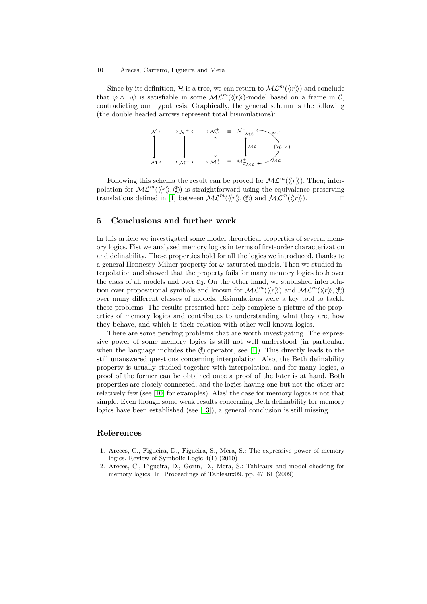Since by its definition, H is a tree, we can return to  $ML^m(\langle\langle r \rangle\rangle)$  and conclude that  $\varphi \wedge \neg \psi$  is satisfiable in some  $\mathcal{ML}^m(\langle\langle r \rangle\rangle)$ -model based on a frame in C, contradicting our hypothesis. Graphically, the general schema is the following (the double headed arrows represent total bisimulations):



Following this schema the result can be proved for  $ML^m(\langle\langle r\rangle\rangle)$ . Then, interpolation for  $ML^m(\langle r \rangle, \mathbf{f})$  is straightforward using the equivalence preserving translations defined in [\[1\]](#page-9-1) between  $ML^m(\langle\!\langle r \rangle\!\rangle, \mathbf{f})$  and  $ML^m(\langle\!\langle r \rangle\!\rangle)$ .

### <span id="page-9-2"></span>5 Conclusions and further work

In this article we investigated some model theoretical properties of several memory logics. Fist we analyzed memory logics in terms of first-order characterization and definability. These properties hold for all the logics we introduced, thanks to a general Hennessy-Milner property for  $\omega$ -saturated models. Then we studied interpolation and showed that the property fails for many memory logics both over the class of all models and over  $\mathcal{C}_\emptyset$ . On the other hand, we stablished interpolation over propositional symbols and known for  $ML^m(\langle\!\langle r \rangle\!\rangle)$  and  $ML^m(\langle\!\langle r \rangle\!\rangle, \textcircled{f})$ over many different classes of models. Bisimulations were a key tool to tackle these problems. The results presented here help complete a picture of the properties of memory logics and contributes to understanding what they are, how they behave, and which is their relation with other well-known logics.

There are some pending problems that are worth investigating. The expressive power of some memory logics is still not well understood (in particular, when the language includes the  $(f)$  operator, see [\[1\]](#page-9-1)). This directly leads to the still unanswered questions concerning interpolation. Also, the Beth definability property is usually studied together with interpolation, and for many logics, a proof of the former can be obtained once a proof of the later is at hand. Both properties are closely connected, and the logics having one but not the other are relatively few (see [\[10\]](#page-10-12) for examples). Alas! the case for memory logics is not that simple. Even though some weak results concerning Beth definability for memory logics have been established (see [\[13\]](#page-10-4)), a general conclusion is still missing.

## References

- <span id="page-9-1"></span>1. Areces, C., Figueira, D., Figueira, S., Mera, S.: The expressive power of memory logics. Review of Symbolic Logic 4(1) (2010)
- <span id="page-9-0"></span>2. Areces, C., Figueira, D., Gorín, D., Mera, S.: Tableaux and model checking for memory logics. In: Proceedings of Tableaux09. pp. 47–61 (2009)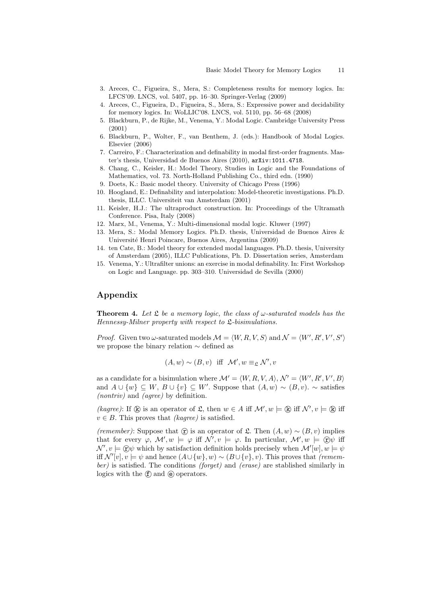- <span id="page-10-2"></span>3. Areces, C., Figueira, S., Mera, S.: Completeness results for memory logics. In: LFCS'09. LNCS, vol. 5407, pp. 16–30. Springer-Verlag (2009)
- <span id="page-10-1"></span>4. Areces, C., Figueira, D., Figueira, S., Mera, S.: Expressive power and decidability for memory logics. In: WoLLIC'08. LNCS, vol. 5110, pp. 56–68 (2008)
- <span id="page-10-3"></span>5. Blackburn, P., de Rijke, M., Venema, Y.: Modal Logic. Cambridge University Press (2001)
- <span id="page-10-0"></span>6. Blackburn, P., Wolter, F., van Benthem, J. (eds.): Handbook of Modal Logics. Elsevier (2006)
- <span id="page-10-8"></span>7. Carreiro, F.: Characterization and definability in modal first-order fragments. Master's thesis, Universidad de Buenos Aires (2010), arXiv:1011.4718.
- <span id="page-10-5"></span>8. Chang, C., Keisler, H.: Model Theory, Studies in Logic and the Foundations of Mathematics, vol. 73. North-Holland Publishing Co., third edn. (1990)
- <span id="page-10-6"></span>9. Doets, K.: Basic model theory. University of Chicago Press (1996)
- <span id="page-10-12"></span>10. Hoogland, E.: Definability and interpolation: Model-theoretic investigations. Ph.D. thesis, ILLC. Universiteit van Amsterdam (2001)
- <span id="page-10-7"></span>11. Keisler, H.J.: The ultraproduct construction. In: Proceedings of the Ultramath Conference. Pisa, Italy (2008)
- <span id="page-10-11"></span>12. Marx, M., Venema, Y.: Multi-dimensional modal logic. Kluwer (1997)
- <span id="page-10-4"></span>13. Mera, S.: Modal Memory Logics. Ph.D. thesis, Universidad de Buenos Aires & Universit´e Henri Poincare, Buenos Aires, Argentina (2009)
- <span id="page-10-10"></span>14. ten Cate, B.: Model theory for extended modal languages. Ph.D. thesis, University of Amsterdam (2005), ILLC Publications, Ph. D. Dissertation series, Amsterdam
- <span id="page-10-9"></span>15. Venema, Y.: Ultrafilter unions: an exercise in modal definability. In: First Workshop on Logic and Language. pp. 303–310. Universidad de Sevilla (2000)

## Appendix

**Theorem 4.** Let  $\mathfrak L$  be a memory logic, the class of  $\omega$ -saturated models has the Hennessy-Milner property with respect to  $\mathfrak{L}$ -bisimulations.

*Proof.* Given two  $\omega$ -saturated models  $\mathcal{M} = \langle W, R, V, S \rangle$  and  $\mathcal{N} = \langle W', R', V', S' \rangle$ we propose the binary relation ∼ defined as

$$
(A, w) \sim (B, v)
$$
 iff  $\mathcal{M}', w \equiv_{\mathfrak{L}} \mathcal{N}', v$ 

as a candidate for a bisimulation where  $\mathcal{M}' = \langle W, R, V, A \rangle, \mathcal{N}' = \langle W', R', V', B \rangle$ and  $A \cup \{w\} \subseteq W$ ,  $B \cup \{v\} \subseteq W'$ . Suppose that  $(A, w) \sim (B, v)$ .  $\sim$  satisfies (nontriv) and (agree) by definition.

(kagree): If  $\&$  is an operator of  $\&$ , then  $w \in A$  iff  $\mathcal{M}'$ ,  $w \models \&$  iff  $\mathcal{N}'$ ,  $v \models \&$  iff  $v \in B$ . This proves that *(kagree)* is satisfied.

(remember): Suppose that  $\hat{\tau}$ ) is an operator of  $\mathfrak{L}$ . Then  $(A, w) \sim (B, v)$  implies that for every  $\varphi$ ,  $\mathcal{M}'$ ,  $w \models \varphi$  iff  $\mathcal{N}'$ ,  $v \models \varphi$ . In particular,  $\mathcal{M}'$ ,  $w \models \mathcal{D}\psi$  iff  $\mathcal{N}', v \models \textcircled{c} \psi$  which by satisfaction definition holds precisely when  $\mathcal{M}'[w], w \models \psi$ iff  $\mathcal{N}'[v], v \models \psi$  and hence  $(A \cup \{w\}, w) \sim (B \cup \{v\}, v)$ . This proves that (remember) is satisfied. The conditions (forget) and (erase) are stablished similarly in logics with the  $(f)$  and  $(g)$  operators.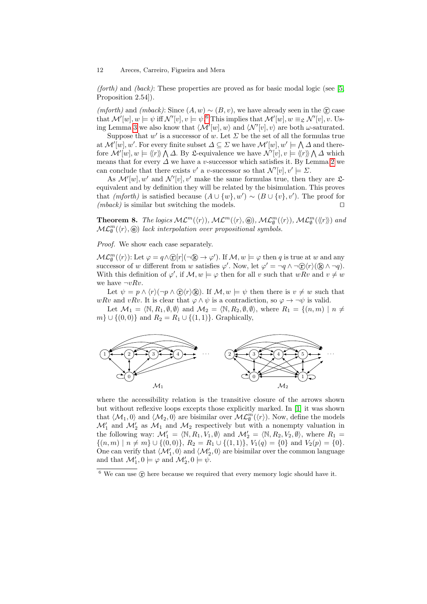(forth) and (back): These properties are proved as for basic modal logic (see [\[5,](#page-10-3) Proposition 2.54]).

 $(mforth)$  and  $(mback)$ : Since  $(A, w) \sim (B, v)$ , we have already seen in the  $\hat{r}$  case that  $\mathcal{M}'[w], w \models \psi$  iff  $\mathcal{N}'[v], v \models \psi$ .<sup>[6](#page-11-0)</sup> This implies that  $\mathcal{M}'[w], w \equiv_{\mathfrak{L}} \mathcal{N}'[v], v$ . Us-ing Lemma [3](#page-4-3) we also know that  $\langle \mathcal{M}'[w], w \rangle$  and  $\langle \mathcal{N}'[v], v \rangle$  are both  $\omega$ -saturated.

Suppose that  $w'$  is a successor of w. Let  $\Sigma$  be the set of all the formulas true at  $\mathcal{M}'[w], w'$ . For every finite subset  $\Delta \subseteq \Sigma$  we have  $\mathcal{M}'[w], w' \models \bigwedge \Delta$  and therefore  $\mathcal{M}'[w], w \models \langle\!\langle r \rangle\!\rangle \bigwedge \Delta$ . By L-equivalence we have  $\mathcal{N}'[v], v \models \langle\!\langle r \rangle\!\rangle \bigwedge \Delta$  which means that for every  $\Delta$  we have a v-successor which satisfies it. By Lemma [2](#page-4-4) we can conclude that there exists v' a v-successor so that  $\mathcal{N}'[v], v' \models \Sigma$ .

As  $\mathcal{M}'[w], w'$  and  $\mathcal{N}'[v], v'$  make the same formulas true, then they are  $\mathfrak{L}$ equivalent and by definition they will be related by the bisimulation. This proves that (mforth) is satisfied because  $(A \cup \{w\}, w') \sim (B \cup \{v\}, v')$ . The proof for  $(mback)$  is similar but switching the models.

**Theorem 8.** The logics  $ML^m(\langle r \rangle), ML^m(\langle r \rangle, \textcircled{e}), ML^m_{\emptyset}(\langle r \rangle), ML^m_{\emptyset}(\langle r \rangle)$  and  $\mathcal{ML}_{\emptyset}^m(\langle r \rangle, \textcircled{e})$  lack interpolation over propositional symbols.

Proof. We show each case separately.

 $\mathcal{ML}_{\emptyset}^m(\langle r \rangle):$  Let  $\varphi = q \wedge \textcircled{r}[r](\neg \textcircled{k} \rightarrow \varphi')$ . If  $\mathcal{M}, w \models \varphi$  then q is true at w and any successor of w different from w satisfies  $\varphi'$ . Now, let  $\varphi' = \neg q \wedge \neg \textcircled{r} \langle r \rangle \textcircled{k} \wedge \neg q$ . With this definition of  $\varphi'$ , if  $\mathcal{M}, w \models \varphi$  then for all v such that  $wRv$  and  $v \neq w$ we have  $\neg vRv$ .

Let  $\psi = p \wedge \langle r \rangle (\neg p \wedge \textcircled{r} \rangle \textcircled{k})$ . If  $\mathcal{M}, w \models \psi$  then there is  $v \neq w$  such that wRv and vRv. It is clear that  $\varphi \wedge \psi$  is a contradiction, so  $\varphi \rightarrow \neg \psi$  is valid.

Let  $\mathcal{M}_1 = \langle \mathbb{N}, R_1, \emptyset, \emptyset \rangle$  and  $\mathcal{M}_2 = \langle \mathbb{N}, R_2, \emptyset, \emptyset \rangle$ , where  $R_1 = \{(n, m) | n \neq j\}$  $m\} \cup \{(0,0)\}\$ and  $R_2 = R_1 \cup \{(1,1)\}\$ . Graphically,



where the accessibility relation is the transitive closure of the arrows shown but without reflexive loops excepts those explicitly marked. In [\[1\]](#page-9-1) it was shown that  $\langle \mathcal{M}_1, 0 \rangle$  and  $\langle \mathcal{M}_2, 0 \rangle$  are bisimilar over  $\mathcal{ML}_{\emptyset}^m(\langle r \rangle)$ . Now, define the models  $\mathcal{M}'_1$  and  $\mathcal{M}'_2$  as  $\mathcal{M}_1$  and  $\mathcal{M}_2$  respectively but with a nonempty valuation in the following way:  $\mathcal{M}'_1 = \langle \mathbb{N}, R_1, V_1, \emptyset \rangle$  and  $\mathcal{M}'_2 = \langle \mathbb{N}, R_2, V_2, \emptyset \rangle$ , where  $R_1 =$  $\{(n,m) \mid n \neq m\} \cup \{(0,0)\}, R_2 = R_1 \cup \{(1,1)\}, V_1(q) = \{0\}$  and  $V_2(p) = \{0\}.$ One can verify that  $\langle \mathcal{M}'_1, 0 \rangle$  and  $\langle \mathcal{M}'_2, 0 \rangle$  are bisimilar over the common language and that  $\mathcal{M}'_1, 0 \models \varphi$  and  $\mathcal{M}'_2, 0 \models \psi$ .

<span id="page-11-0"></span> $6$  We can use  $\circledcirc$  here because we required that every memory logic should have it.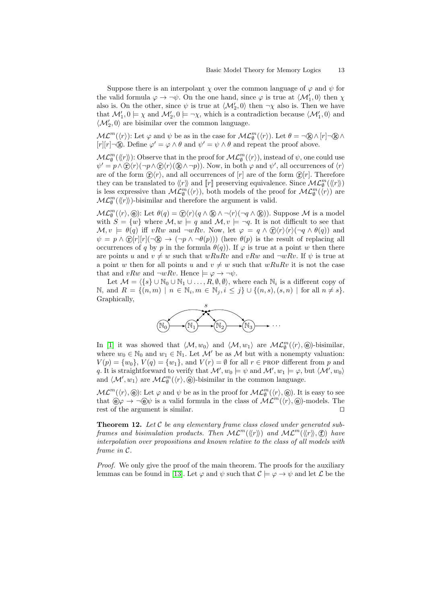Suppose there is an interpolant  $\chi$  over the common language of  $\varphi$  and  $\psi$  for the valid formula  $\varphi \to \neg \psi$ . On the one hand, since  $\varphi$  is true at  $\langle \mathcal{M}'_1, 0 \rangle$  then  $\chi$ also is. On the other, since  $\psi$  is true at  $\langle \mathcal{M}'_2, 0 \rangle$  then  $\neg \chi$  also is. Then we have that  $\mathcal{M}'_1, 0 \models \chi$  and  $\mathcal{M}'_2, 0 \models \neg \chi$ , which is a contradiction because  $\langle \mathcal{M}'_1, 0 \rangle$  and  $\langle \mathcal{M}'_2, 0 \rangle$  are bisimilar over the common language.

 $ML^m(\langle r \rangle)$ : Let  $\varphi$  and  $\psi$  be as in the case for  $ML^m_{\emptyset}(\langle r \rangle)$ . Let  $\theta = \neg \mathbb{Q} \wedge [r] \neg \mathbb{Q} \wedge \neg \mathbb{Q}$ [r][r]¬(k). Define  $\varphi' = \varphi \wedge \theta$  and  $\psi' = \psi \wedge \theta$  and repeat the proof above.

 $\mathcal{ML}_{\emptyset}^m(\langle\!\langle r \rangle\!\rangle)$ : Observe that in the proof for  $\mathcal{ML}_{\emptyset}^m(\langle r \rangle)$ , instead of  $\psi$ , one could use  $\psi' = p \wedge \mathcal{D}\langle r \rangle (\neg p \wedge \mathcal{D}\langle r \rangle (\mathbb{R} \wedge \neg p)).$  Now, in both  $\varphi$  and  $\psi'$ , all occurrences of  $\langle r \rangle$ are of the form  $\hat{\mathbf{x}}(r)$ , and all occurrences of  $[r]$  are of the form  $\hat{\mathbf{x}}[r]$ . Therefore they can be translated to  $\langle\!\langle r \rangle\!\rangle$  and  $[\![r]\!]$  preserving equivalence. Since  $\mathcal{ML}_{\emptyset}^m(\langle\!\langle r \rangle\!\rangle)$ is less expressive than  $ML_{\emptyset}^m(\langle r \rangle)$ , both models of the proof for  $ML_{\emptyset}^m(\langle r \rangle)$  are  $\mathcal{ML}_{\emptyset}^m(\langle\!\langle r \rangle\!\rangle)$ -bisimilar and therefore the argument is valid.

 $\mathcal{ML}_{\emptyset}^m(\langle r \rangle, \textcircled{e})$ : Let  $\theta(q) = \textcircled{r}\langle r \rangle(q \wedge \textcircled{k}) \wedge \neg \langle r \rangle(\neg q \wedge \textcircled{k}))$ . Suppose  $\mathcal M$  is a model with  $S = \{w\}$  where  $\mathcal{M}, w \models q$  and  $\mathcal{M}, v \models \neg q$ . It is not difficult to see that  $\mathcal{M}, v \models \theta(q)$  iff vRw and  $\neg wRv$ . Now, let  $\varphi = q \wedge \mathcal{D}\langle r \rangle \langle r \rangle (\neg q \wedge \theta(q))$  and  $\psi = p \wedge \mathbb{C}[r][r] \setminus \mathbb{R} \to (\neg p \wedge \neg \theta(p)))$  (here  $\theta(p)$  is the result of replacing all occurrences of q by p in the formula  $\theta(q)$ ). If  $\varphi$  is true at a point w then there are points u and  $v \neq w$  such that  $wRuRv$  and  $vRw$  and  $\neg wRv$ . If  $\psi$  is true at a point w then for all points u and  $v \neq w$  such that  $wRuRv$  it is not the case that and vRw and  $\neg wRv$ . Hence  $\models \varphi \rightarrow \neg \psi$ .

Let  $\mathcal{M} = \langle \{s\} \cup \mathbb{N}_0 \cup \mathbb{N}_1 \cup \ldots, R, \emptyset, \emptyset \rangle$ , where each  $\mathbb{N}_i$  is a different copy of N, and  $R = \{(n, m) \mid n \in \mathbb{N}_i, m \in \mathbb{N}_j, i \leq j\} \cup \{(n, s), (s, n) \mid \text{for all } n \neq s\}.$ Graphically,



In [\[1\]](#page-9-1) it was showed that  $\langle M, w_0 \rangle$  and  $\langle M, w_1 \rangle$  are  $ML_{\emptyset}^m(\langle r \rangle, \textcircled{e})$ -bisimilar, where  $w_0 \in \mathbb{N}_0$  and  $w_1 \in \mathbb{N}_1$ . Let  $\mathcal{M}'$  be as  $\mathcal M$  but with a nonempty valuation:  $V(p) = \{w_0\}, V(q) = \{w_1\}, \text{ and } V(r) = \emptyset \text{ for all } r \in \text{PROP different from } p \text{ and }$ q. It is straightforward to verify that  $\mathcal{M}'$ ,  $w_0 \models \psi$  and  $\mathcal{M}'$ ,  $w_1 \models \varphi$ , but  $\langle \mathcal{M}', w_0 \rangle$ and  $\langle \mathcal{M}', w_1 \rangle$  are  $\mathcal{ML}_{\emptyset}^m(\langle r \rangle, \widehat{\Theta})$ -bisimilar in the common language.

 $ML^m(\langle r\rangle, \textcircled{e})$ : Let  $\varphi$  and  $\psi$  be as in the proof for  $ML^m_{\emptyset}(\langle r\rangle, \textcircled{e})$ . It is easy to see that  $\Theta \varphi \to \neg \Theta \psi$  is a valid formula in the class of  $ML^m(\langle r \rangle, \Theta)$ -models. The rest of the argument is similar.  $\square$ 

<span id="page-12-0"></span>**Theorem 12.** Let  $\mathcal C$  be any elementary frame class closed under generated subframes and bisimulation products. Then  $ML^m(\langle\langle r \rangle\rangle)$  and  $ML^m(\langle\langle r \rangle\rangle, \text{F})$  have interpolation over propositions and known relative to the class of all models with frame in C.

Proof. We only give the proof of the main theorem. The proofs for the auxiliary lemmas can be found in [\[13\]](#page-10-4). Let  $\varphi$  and  $\psi$  such that  $\mathcal{C} \models \varphi \rightarrow \psi$  and let  $\mathcal{L}$  be the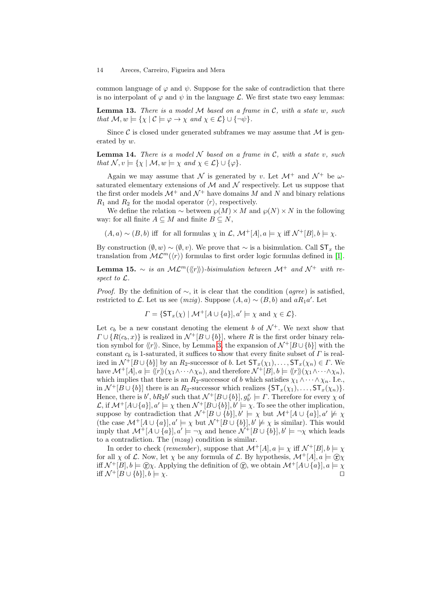common language of  $\varphi$  and  $\psi$ . Suppose for the sake of contradiction that there is no interpolant of  $\varphi$  and  $\psi$  in the language  $\mathcal{L}$ . We first state two easy lemmas:

**Lemma 13.** There is a model  $M$  based on a frame in  $C$ , with a state w, such that  $\mathcal{M}, w \models \{ \chi \mid C \models \varphi \rightarrow \chi \text{ and } \chi \in \mathcal{L} \} \cup \{ \neg \psi \}.$ 

Since C is closed under generated subframes we may assume that  $\mathcal M$  is generated by w.

**Lemma 14.** There is a model  $N$  based on a frame in  $C$ , with a state v, such that  $\mathcal{N}, v \models \{ \chi \mid \mathcal{M}, w \models \chi \text{ and } \chi \in \mathcal{L} \} \cup \{ \varphi \}.$ 

Again we may assume that N is generated by v. Let  $\mathcal{M}^+$  and  $\mathcal{N}^+$  be  $\omega$ saturated elementary extensions of  $\mathcal M$  and  $\mathcal N$  respectively. Let us suppose that the first order models  $\mathcal{M}^+$  and  $\mathcal{N}^+$  have domains M and N and binary relations  $R_1$  and  $R_2$  for the modal operator  $\langle r \rangle$ , respectively.

We define the relation  $\sim$  between  $\wp(M) \times M$  and  $\wp(N) \times N$  in the following way: for all finite  $A \subseteq M$  and finite  $B \subseteq N$ ,

 $(A, a) \sim (B, b)$  iff for all formulas  $\chi$  in  $\mathcal{L}, \mathcal{M}^+[A], a \models \chi$  iff  $\mathcal{N}^+[B], b \models \chi$ .

By construction  $(\emptyset, w) \sim (\emptyset, v)$ . We prove that  $\sim$  is a bisimulation. Call ST<sub>x</sub> the translation from  $ML^m(\langle r \rangle)$  formulas to first order logic formulas defined in [\[1\]](#page-9-1).

**Lemma 15.** ∼ is an  $ML^m(\langle\langle r\rangle\rangle)$ -bisimulation between  $\mathcal{M}^+$  and  $\mathcal{N}^+$  with respect to L.

*Proof.* By the definition of  $\sim$ , it is clear that the condition (*agree*) is satisfied, restricted to L. Let us see (*mzig*). Suppose  $(A, a) \sim (B, b)$  and  $aR_1a'$ . Let

$$
\Gamma = \{ \mathsf{ST}_x(\chi) \mid \mathcal{M}^+[A \cup \{a\}], a' \models \chi \text{ and } \chi \in \mathcal{L} \}.
$$

Let  $c_b$  be a new constant denoting the element b of  $\mathcal{N}^+$ . We next show that  $\Gamma \cup \{R(c_b, x)\}\$ is realized in  $\mathcal{N}^+[B \cup \{b\}],$  where R is the first order binary relation symbol for  $\langle r \rangle$ . Since, by Lemma [3,](#page-4-3) the expansion of  $\mathcal{N}^+$ [B $\cup$ {b}] with the constant  $c<sub>b</sub>$  is 1-saturated, it suffices to show that every finite subset of  $\Gamma$  is realized in  $\mathcal{N}^+[B\cup\{b\}]$  by an  $R_2$ -successor of b. Let  $\mathsf{ST}_x(\chi_1),\ldots,\mathsf{ST}_x(\chi_n)\in\Gamma$ . We have  $\mathcal{M}^+[A], a \models \langle\!\langle r \rangle\!\rangle(\chi_1 \wedge \cdots \wedge \chi_n),$  and therefore  $\mathcal{N}^+[B], b \models \langle\!\langle r \rangle\!\rangle(\chi_1 \wedge \cdots \wedge \chi_n),$ which implies that there is an  $R_2$ -successor of b which satisfies  $\chi_1 \wedge \cdots \wedge \chi_n$ . I.e., in  $\mathcal{N}^+[B\cup\{b\}]$  there is an  $R_2$ -successor which realizes  $\{\mathsf{ST}_x(\chi_1),\ldots,\mathsf{ST}_x(\chi_n)\}.$ Hence, there is b',  $bR_2b'$  such that  $\mathcal{N}^+[B\cup\{b\}], g^x_{b'} \models \Gamma$ . Therefore for every  $\chi$  of Left Liet is b,  $\partial$ ,  $\partial P$  and that  $N^{-}[B \cup \{b\}], y' \models T$ . Therefore for every  $\chi$  or<br>  $\mathcal{L}$ , if  $\mathcal{M}^+[A \cup \{a\}], a' \models \chi$  then  $\mathcal{N}^+[B \cup \{b\}], b' \models \chi$ . To see the other implication, suppose by contradiction that  $\mathcal{N}^+[B\cup\{b\}], b' \models \chi$  but  $\mathcal{M}^+[A\cup\{a\}], a' \not\models \chi$ (the case  $\mathcal{M}^+[A\cup\{a\}], a' \models \chi$  but  $\mathcal{N}^+[B\cup\{b\}], b' \not\models \chi$  is similar). This would imply that  $\mathcal{M}^+[A\cup\{a\}], a'\models \neg \chi$  and hence  $\mathcal{N}^+[B\cup\{b\}], b'\models \neg \chi$  which leads to a contradiction. The  $(mzag)$  condition is similar.

In order to check (remember), suppose that  $\mathcal{M}^+[A], a \models \chi$  iff  $\mathcal{N}^+[B], b \models \chi$ for all  $\chi$  of  $\mathcal L$ . Now, let  $\chi$  be any formula of  $\mathcal L$ . By hypothesis,  $\mathcal M^+[A], a \models \textcircled{r}\chi$ iff  $\mathcal{N}^+[B], b \models \textcircled{c}\chi$ . Applying the definition of  $\textcircled{c}$ , we obtain  $\mathcal{M}^+[A\cup\{a\}], a \models \chi$ iff  $\mathcal{N}^+[B\cup\{b\}], b \models \chi.$